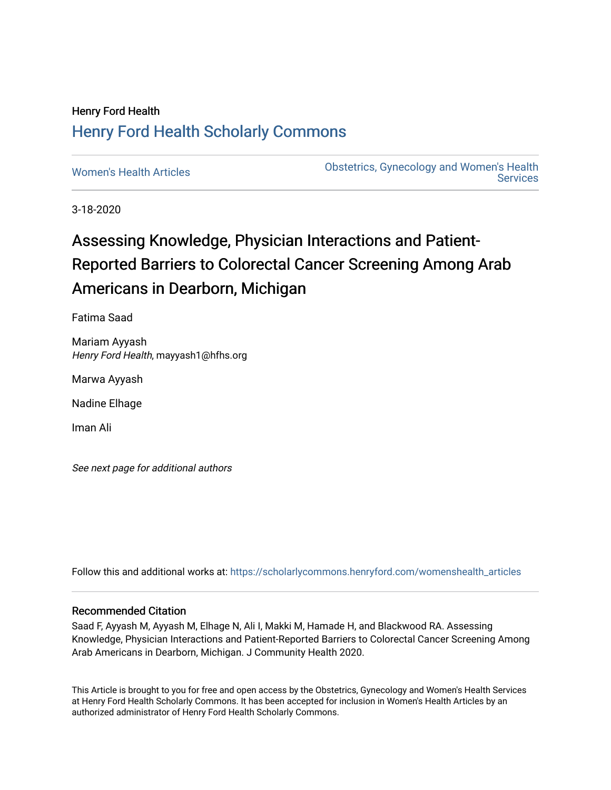## Henry Ford Health [Henry Ford Health Scholarly Commons](https://scholarlycommons.henryford.com/)

[Women's Health Articles](https://scholarlycommons.henryford.com/womenshealth_articles) **Constructed Articles** Obstetrics, Gynecology and Women's Health **Services** 

3-18-2020

# Assessing Knowledge, Physician Interactions and Patient-Reported Barriers to Colorectal Cancer Screening Among Arab Americans in Dearborn, Michigan

Fatima Saad

Mariam Ayyash Henry Ford Health, mayyash1@hfhs.org

Marwa Ayyash

Nadine Elhage

Iman Ali

See next page for additional authors

Follow this and additional works at: [https://scholarlycommons.henryford.com/womenshealth\\_articles](https://scholarlycommons.henryford.com/womenshealth_articles?utm_source=scholarlycommons.henryford.com%2Fwomenshealth_articles%2F92&utm_medium=PDF&utm_campaign=PDFCoverPages) 

## Recommended Citation

Saad F, Ayyash M, Ayyash M, Elhage N, Ali I, Makki M, Hamade H, and Blackwood RA. Assessing Knowledge, Physician Interactions and Patient-Reported Barriers to Colorectal Cancer Screening Among Arab Americans in Dearborn, Michigan. J Community Health 2020.

This Article is brought to you for free and open access by the Obstetrics, Gynecology and Women's Health Services at Henry Ford Health Scholarly Commons. It has been accepted for inclusion in Women's Health Articles by an authorized administrator of Henry Ford Health Scholarly Commons.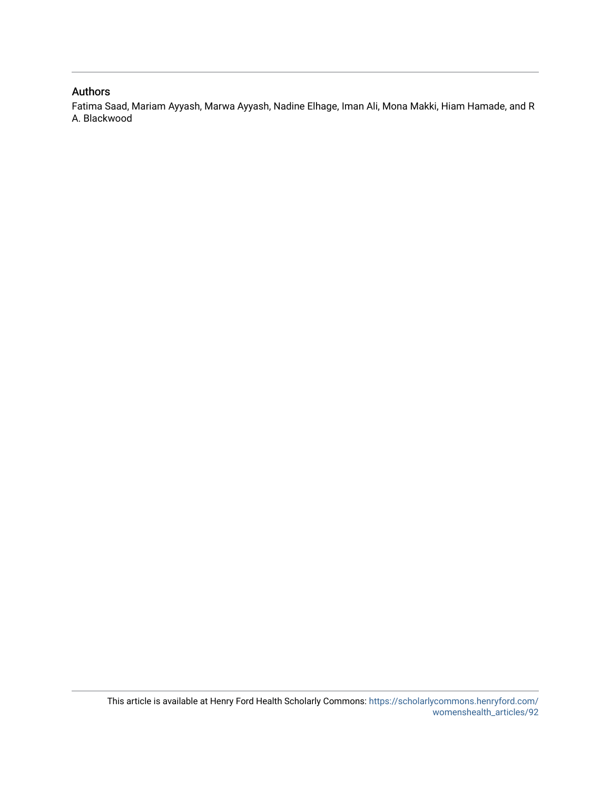## Authors

Fatima Saad, Mariam Ayyash, Marwa Ayyash, Nadine Elhage, Iman Ali, Mona Makki, Hiam Hamade, and R A. Blackwood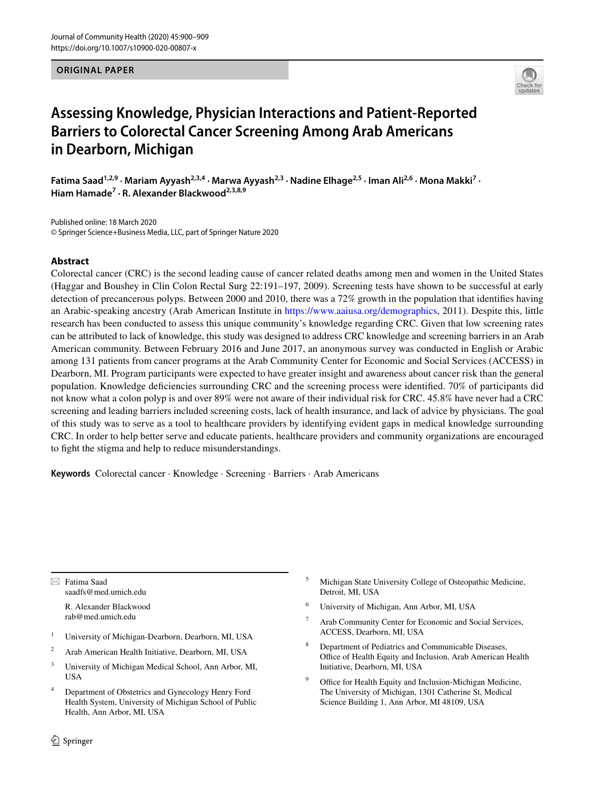### **ORIGINAL PAPER**



## **Assessing Knowledge, Physician Interactions and Patient‑Reported Barriers to Colorectal Cancer Screening Among Arab Americans in Dearborn, Michigan**

Fatima Saad<sup>1,2,9</sup> • Mariam Ayyash<sup>2,3,4</sup> • Marwa Ayyash<sup>2,3</sup> • Nadine Elhage<sup>2,5</sup> • Iman Ali<sup>2,6</sup> • Mona Makki<sup>7</sup> • **Hiam Hamade7 · R. Alexander Blackwood2,3,8,9**

Published online: 18 March 2020 © Springer Science+Business Media, LLC, part of Springer Nature 2020

## **Abstract**

Colorectal cancer (CRC) is the second leading cause of cancer related deaths among men and women in the United States (Haggar and Boushey in Clin Colon Rectal Surg 22:191–197, 2009). Screening tests have shown to be successful at early detection of precancerous polyps. Between 2000 and 2010, there was a 72% growth in the population that identifes having an Arabic-speaking ancestry (Arab American Institute in [https://www.aaiusa.org/demographics,](https://www.aaiusa.org/demographics) 2011). Despite this, little research has been conducted to assess this unique community's knowledge regarding CRC. Given that low screening rates can be attributed to lack of knowledge, this study was designed to address CRC knowledge and screening barriers in an Arab American community. Between February 2016 and June 2017, an anonymous survey was conducted in English or Arabic among 131 patients from cancer programs at the Arab Community Center for Economic and Social Services (ACCESS) in Dearborn, MI. Program participants were expected to have greater insight and awareness about cancer risk than the general population. Knowledge defciencies surrounding CRC and the screening process were identifed. 70% of participants did not know what a colon polyp is and over 89% were not aware of their individual risk for CRC. 45.8% have never had a CRC screening and leading barriers included screening costs, lack of health insurance, and lack of advice by physicians. The goal of this study was to serve as a tool to healthcare providers by identifying evident gaps in medical knowledge surrounding CRC. In order to help better serve and educate patients, healthcare providers and community organizations are encouraged to fght the stigma and help to reduce misunderstandings.

**Keywords** Colorectal cancer · Knowledge · Screening · Barriers · Arab Americans

 $\boxtimes$  Fatima Saad saadfs@med.umich.edu

> R. Alexander Blackwood rab@med.umich.edu

- <sup>1</sup> University of Michigan-Dearborn, Dearborn, MI, USA
- <sup>2</sup> Arab American Health Initiative, Dearborn, MI, USA
- <sup>3</sup> University of Michigan Medical School, Ann Arbor, MI, USA
- Department of Obstetrics and Gynecology Henry Ford Health System, University of Michigan School of Public Health, Ann Arbor, MI, USA
- <sup>5</sup> Michigan State University College of Osteopathic Medicine, Detroit, MI, USA
- <sup>6</sup> University of Michigan, Ann Arbor, MI, USA
- Arab Community Center for Economic and Social Services, ACCESS, Dearborn, MI, USA
- Department of Pediatrics and Communicable Diseases, Office of Health Equity and Inclusion, Arab American Health Initiative, Dearborn, MI, USA
- Office for Health Equity and Inclusion-Michigan Medicine, The University of Michigan, 1301 Catherine St, Medical Science Building 1, Ann Arbor, MI 48109, USA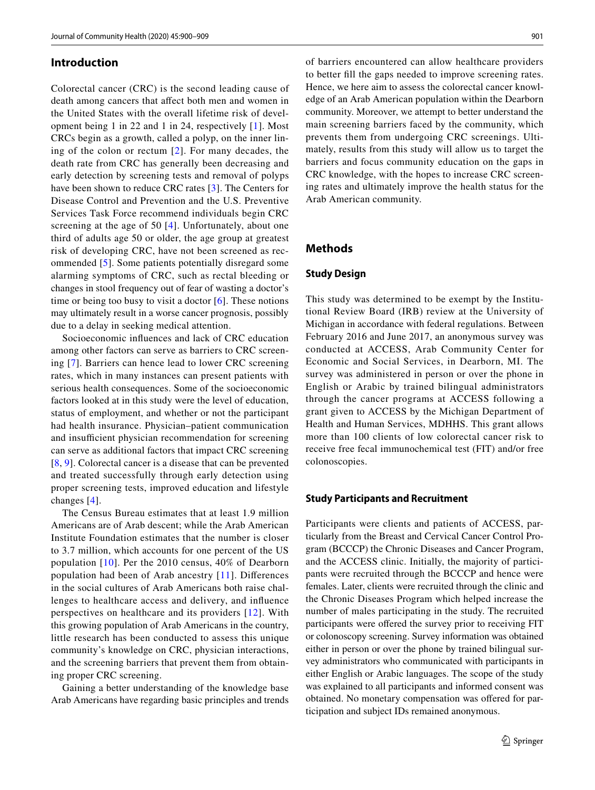#### **Introduction**

Colorectal cancer (CRC) is the second leading cause of death among cancers that afect both men and women in the United States with the overall lifetime risk of development being 1 in 22 and 1 in 24, respectively [[1\]](#page-11-0). Most CRCs begin as a growth, called a polyp, on the inner lining of the colon or rectum [[2](#page-11-1)]. For many decades, the death rate from CRC has generally been decreasing and early detection by screening tests and removal of polyps have been shown to reduce CRC rates [[3\]](#page-11-2). The Centers for Disease Control and Prevention and the U.S. Preventive Services Task Force recommend individuals begin CRC screening at the age of 50 [\[4\]](#page-11-3). Unfortunately, about one third of adults age 50 or older, the age group at greatest risk of developing CRC, have not been screened as recommended [[5](#page-11-4)]. Some patients potentially disregard some alarming symptoms of CRC, such as rectal bleeding or changes in stool frequency out of fear of wasting a doctor's time or being too busy to visit a doctor [[6\]](#page-11-5). These notions may ultimately result in a worse cancer prognosis, possibly due to a delay in seeking medical attention.

Socioeconomic infuences and lack of CRC education among other factors can serve as barriers to CRC screening [[7](#page-11-6)]. Barriers can hence lead to lower CRC screening rates, which in many instances can present patients with serious health consequences. Some of the socioeconomic factors looked at in this study were the level of education, status of employment, and whether or not the participant had health insurance. Physician–patient communication and insufficient physician recommendation for screening can serve as additional factors that impact CRC screening [[8,](#page-11-7) [9\]](#page-11-8). Colorectal cancer is a disease that can be prevented and treated successfully through early detection using proper screening tests, improved education and lifestyle changes [\[4\]](#page-11-3).

The Census Bureau estimates that at least 1.9 million Americans are of Arab descent; while the Arab American Institute Foundation estimates that the number is closer to 3.7 million, which accounts for one percent of the US population [\[10](#page-11-9)]. Per the 2010 census, 40% of Dearborn population had been of Arab ancestry [\[11](#page-11-10)]. Diferences in the social cultures of Arab Americans both raise challenges to healthcare access and delivery, and infuence perspectives on healthcare and its providers [[12\]](#page-11-11). With this growing population of Arab Americans in the country, little research has been conducted to assess this unique community's knowledge on CRC, physician interactions, and the screening barriers that prevent them from obtaining proper CRC screening.

Gaining a better understanding of the knowledge base Arab Americans have regarding basic principles and trends of barriers encountered can allow healthcare providers to better fll the gaps needed to improve screening rates. Hence, we here aim to assess the colorectal cancer knowledge of an Arab American population within the Dearborn community. Moreover, we attempt to better understand the main screening barriers faced by the community, which prevents them from undergoing CRC screenings. Ultimately, results from this study will allow us to target the barriers and focus community education on the gaps in CRC knowledge, with the hopes to increase CRC screening rates and ultimately improve the health status for the Arab American community.

## **Methods**

#### **Study Design**

This study was determined to be exempt by the Institutional Review Board (IRB) review at the University of Michigan in accordance with federal regulations. Between February 2016 and June 2017, an anonymous survey was conducted at ACCESS, Arab Community Center for Economic and Social Services, in Dearborn, MI. The survey was administered in person or over the phone in English or Arabic by trained bilingual administrators through the cancer programs at ACCESS following a grant given to ACCESS by the Michigan Department of Health and Human Services, MDHHS. This grant allows more than 100 clients of low colorectal cancer risk to receive free fecal immunochemical test (FIT) and/or free colonoscopies.

#### **Study Participants and Recruitment**

Participants were clients and patients of ACCESS, particularly from the Breast and Cervical Cancer Control Program (BCCCP) the Chronic Diseases and Cancer Program, and the ACCESS clinic. Initially, the majority of participants were recruited through the BCCCP and hence were females. Later, clients were recruited through the clinic and the Chronic Diseases Program which helped increase the number of males participating in the study. The recruited participants were offered the survey prior to receiving FIT or colonoscopy screening. Survey information was obtained either in person or over the phone by trained bilingual survey administrators who communicated with participants in either English or Arabic languages. The scope of the study was explained to all participants and informed consent was obtained. No monetary compensation was ofered for participation and subject IDs remained anonymous.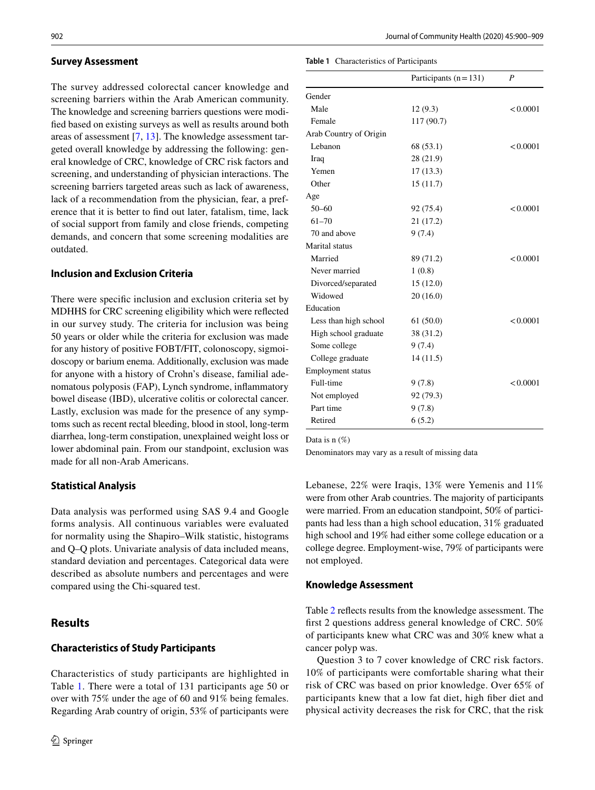#### **Survey Assessment**

The survey addressed colorectal cancer knowledge and screening barriers within the Arab American community. The knowledge and screening barriers questions were modifed based on existing surveys as well as results around both areas of assessment [[7,](#page-11-6) [13\]](#page-11-12). The knowledge assessment targeted overall knowledge by addressing the following: general knowledge of CRC, knowledge of CRC risk factors and screening, and understanding of physician interactions. The screening barriers targeted areas such as lack of awareness, lack of a recommendation from the physician, fear, a preference that it is better to fnd out later, fatalism, time, lack of social support from family and close friends, competing demands, and concern that some screening modalities are outdated.

## **Inclusion and Exclusion Criteria**

There were specifc inclusion and exclusion criteria set by MDHHS for CRC screening eligibility which were refected in our survey study. The criteria for inclusion was being 50 years or older while the criteria for exclusion was made for any history of positive FOBT/FIT, colonoscopy, sigmoidoscopy or barium enema. Additionally, exclusion was made for anyone with a history of Crohn's disease, familial adenomatous polyposis (FAP), Lynch syndrome, infammatory bowel disease (IBD), ulcerative colitis or colorectal cancer. Lastly, exclusion was made for the presence of any symptoms such as recent rectal bleeding, blood in stool, long-term diarrhea, long-term constipation, unexplained weight loss or lower abdominal pain. From our standpoint, exclusion was made for all non-Arab Americans.

#### **Statistical Analysis**

Data analysis was performed using SAS 9.4 and Google forms analysis. All continuous variables were evaluated for normality using the Shapiro–Wilk statistic, histograms and Q–Q plots. Univariate analysis of data included means, standard deviation and percentages. Categorical data were described as absolute numbers and percentages and were compared using the Chi-squared test.

## **Results**

## **Characteristics of Study Participants**

Characteristics of study participants are highlighted in Table [1](#page-4-0). There were a total of 131 participants age 50 or over with 75% under the age of 60 and 91% being females. Regarding Arab country of origin, 53% of participants were

#### <span id="page-4-0"></span>**Table 1** Characteristics of Participants

|                          | Participants $(n=131)$ | $\boldsymbol{P}$ |
|--------------------------|------------------------|------------------|
| Gender                   |                        |                  |
| Male                     | 12(9.3)                | < 0.0001         |
| Female                   | 117 (90.7)             |                  |
| Arab Country of Origin   |                        |                  |
| Lebanon                  | 68 (53.1)              | < 0.0001         |
| Iraq                     | 28 (21.9)              |                  |
| Yemen                    | 17 (13.3)              |                  |
| Other                    | 15(11.7)               |                  |
| Age                      |                        |                  |
| $50 - 60$                | 92 (75.4)              | < 0.0001         |
| $61 - 70$                | 21 (17.2)              |                  |
| 70 and above             | 9(7.4)                 |                  |
| Marital status           |                        |                  |
| Married                  | 89 (71.2)              | < 0.0001         |
| Never married            | 1(0.8)                 |                  |
| Divorced/separated       | 15(12.0)               |                  |
| Widowed                  | 20(16.0)               |                  |
| Education                |                        |                  |
| Less than high school    | 61(50.0)               | < 0.0001         |
| High school graduate     | 38 (31.2)              |                  |
| Some college             | 9(7.4)                 |                  |
| College graduate         | 14 (11.5)              |                  |
| <b>Employment</b> status |                        |                  |
| Full-time                | 9(7.8)                 | < 0.0001         |
| Not employed             | 92 (79.3)              |                  |
| Part time                | 9(7.8)                 |                  |
| Retired                  | 6(5.2)                 |                  |

Data is n (%)

Denominators may vary as a result of missing data

Lebanese, 22% were Iraqis, 13% were Yemenis and 11% were from other Arab countries. The majority of participants were married. From an education standpoint, 50% of participants had less than a high school education, 31% graduated high school and 19% had either some college education or a college degree. Employment-wise, 79% of participants were not employed.

#### **Knowledge Assessment**

Table [2](#page-5-0) refects results from the knowledge assessment. The frst 2 questions address general knowledge of CRC. 50% of participants knew what CRC was and 30% knew what a cancer polyp was.

Question 3 to 7 cover knowledge of CRC risk factors. 10% of participants were comfortable sharing what their risk of CRC was based on prior knowledge. Over 65% of participants knew that a low fat diet, high fber diet and physical activity decreases the risk for CRC, that the risk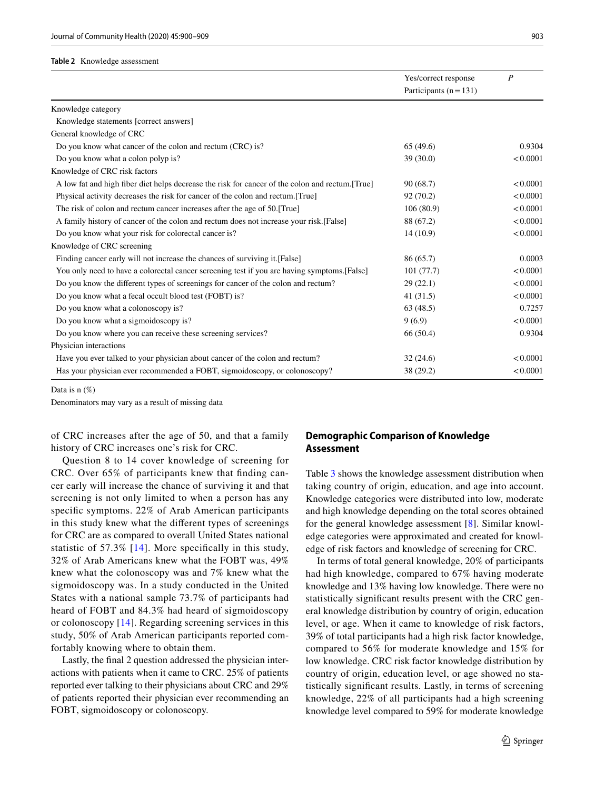#### <span id="page-5-0"></span>**Table 2** Knowledge assessment

|                                                                                                  | Yes/correct response   | $\boldsymbol{P}$ |
|--------------------------------------------------------------------------------------------------|------------------------|------------------|
|                                                                                                  | Participants $(n=131)$ |                  |
| Knowledge category                                                                               |                        |                  |
| Knowledge statements [correct answers]                                                           |                        |                  |
| General knowledge of CRC                                                                         |                        |                  |
| Do you know what cancer of the colon and rectum (CRC) is?                                        | 65(49.6)               | 0.9304           |
| Do you know what a colon polyp is?                                                               | 39(30.0)               | < 0.0001         |
| Knowledge of CRC risk factors                                                                    |                        |                  |
| A low fat and high fiber diet helps decrease the risk for cancer of the colon and rectum. [True] | 90(68.7)               | < 0.0001         |
| Physical activity decreases the risk for cancer of the colon and rectum.[True]                   | 92 (70.2)              | < 0.0001         |
| The risk of colon and rectum cancer increases after the age of 50. [True]                        | 106(80.9)              | < 0.0001         |
| A family history of cancer of the colon and rectum does not increase your risk.[False]           | 88 (67.2)              | < 0.0001         |
| Do you know what your risk for colorectal cancer is?                                             | 14(10.9)               | < 0.0001         |
| Knowledge of CRC screening                                                                       |                        |                  |
| Finding cancer early will not increase the chances of surviving it. [False]                      | 86 (65.7)              | 0.0003           |
| You only need to have a colorectal cancer screening test if you are having symptoms. [False]     | 101(77.7)              | < 0.0001         |
| Do you know the different types of screenings for cancer of the colon and rectum?                | 29(22.1)               | < 0.0001         |
| Do you know what a fecal occult blood test (FOBT) is?                                            | 41(31.5)               | < 0.0001         |
| Do you know what a colonoscopy is?                                                               | 63(48.5)               | 0.7257           |
| Do you know what a sigmoidoscopy is?                                                             | 9(6.9)                 | < 0.0001         |
| Do you know where you can receive these screening services?                                      | 66(50.4)               | 0.9304           |
| Physician interactions                                                                           |                        |                  |
| Have you ever talked to your physician about cancer of the colon and rectum?                     | 32(24.6)               | < 0.0001         |
| Has your physician ever recommended a FOBT, sigmoidoscopy, or colonoscopy?                       | 38 (29.2)              | < 0.0001         |

Data is n (%)

Denominators may vary as a result of missing data

of CRC increases after the age of 50, and that a family history of CRC increases one's risk for CRC.

Question 8 to 14 cover knowledge of screening for CRC. Over 65% of participants knew that fnding cancer early will increase the chance of surviving it and that screening is not only limited to when a person has any specifc symptoms. 22% of Arab American participants in this study knew what the diferent types of screenings for CRC are as compared to overall United States national statistic of 57.3% [[14](#page-11-13)]. More specifcally in this study, 32% of Arab Americans knew what the FOBT was, 49% knew what the colonoscopy was and 7% knew what the sigmoidoscopy was. In a study conducted in the United States with a national sample 73.7% of participants had heard of FOBT and 84.3% had heard of sigmoidoscopy or colonoscopy [[14\]](#page-11-13). Regarding screening services in this study, 50% of Arab American participants reported comfortably knowing where to obtain them.

Lastly, the fnal 2 question addressed the physician interactions with patients when it came to CRC. 25% of patients reported ever talking to their physicians about CRC and 29% of patients reported their physician ever recommending an FOBT, sigmoidoscopy or colonoscopy.

## **Demographic Comparison of Knowledge Assessment**

Table [3](#page-6-0) shows the knowledge assessment distribution when taking country of origin, education, and age into account. Knowledge categories were distributed into low, moderate and high knowledge depending on the total scores obtained for the general knowledge assessment [[8\]](#page-11-7). Similar knowledge categories were approximated and created for knowledge of risk factors and knowledge of screening for CRC.

In terms of total general knowledge, 20% of participants had high knowledge, compared to 67% having moderate knowledge and 13% having low knowledge. There were no statistically signifcant results present with the CRC general knowledge distribution by country of origin, education level, or age. When it came to knowledge of risk factors, 39% of total participants had a high risk factor knowledge, compared to 56% for moderate knowledge and 15% for low knowledge. CRC risk factor knowledge distribution by country of origin, education level, or age showed no statistically signifcant results. Lastly, in terms of screening knowledge, 22% of all participants had a high screening knowledge level compared to 59% for moderate knowledge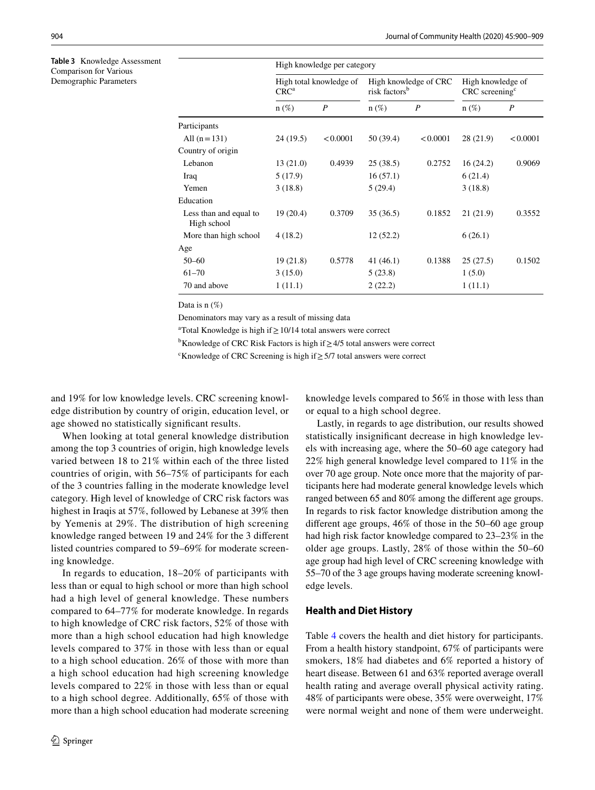<span id="page-6-0"></span>**Table 3** Knowledge Assessment Comparison for Various Demographic Parameters

|                                       | High knowledge per category                 |                  |                                                    |                  |                                                   |                  |
|---------------------------------------|---------------------------------------------|------------------|----------------------------------------------------|------------------|---------------------------------------------------|------------------|
|                                       | High total knowledge of<br>CRC <sup>a</sup> |                  | High knowledge of CRC<br>risk factors <sup>b</sup> |                  | High knowledge of<br>$CRC$ screening <sup>c</sup> |                  |
|                                       | $n(\%)$                                     | $\boldsymbol{P}$ | $n(\%)$                                            | $\boldsymbol{P}$ | $n(\%)$                                           | $\boldsymbol{P}$ |
| Participants                          |                                             |                  |                                                    |                  |                                                   |                  |
| All $(n=131)$                         | 24(19.5)                                    | < 0.0001         | 50 (39.4)                                          | < 0.0001         | 28(21.9)                                          | < 0.0001         |
| Country of origin                     |                                             |                  |                                                    |                  |                                                   |                  |
| Lebanon                               | 13(21.0)                                    | 0.4939           | 25(38.5)                                           | 0.2752           | 16(24.2)                                          | 0.9069           |
| Iraq                                  | 5(17.9)                                     |                  | 16(57.1)                                           |                  | 6(21.4)                                           |                  |
| Yemen                                 | 3(18.8)                                     |                  | 5(29.4)                                            |                  | 3(18.8)                                           |                  |
| Education                             |                                             |                  |                                                    |                  |                                                   |                  |
| Less than and equal to<br>High school | 19(20.4)                                    | 0.3709           | 35(36.5)                                           | 0.1852           | 21(21.9)                                          | 0.3552           |
| More than high school                 | 4(18.2)                                     |                  | 12(52.2)                                           |                  | 6(26.1)                                           |                  |
| Age                                   |                                             |                  |                                                    |                  |                                                   |                  |
| $50 - 60$                             | 19(21.8)                                    | 0.5778           | 41(46.1)                                           | 0.1388           | 25(27.5)                                          | 0.1502           |
| $61 - 70$                             | 3(15.0)                                     |                  | 5(23.8)                                            |                  | 1(5.0)                                            |                  |
| 70 and above                          | 1(11.1)                                     |                  | 2(22.2)                                            |                  | 1(11.1)                                           |                  |

Data is  $n$   $(\%)$ 

Denominators may vary as a result of missing data

a Total Knowledge is high if≥10/14 total answers were correct

b Knowledge of CRC Risk Factors is high if≥4/5 total answers were correct

c Knowledge of CRC Screening is high if≥5/7 total answers were correct

and 19% for low knowledge levels. CRC screening knowledge distribution by country of origin, education level, or age showed no statistically signifcant results.

When looking at total general knowledge distribution among the top 3 countries of origin, high knowledge levels varied between 18 to 21% within each of the three listed countries of origin, with 56–75% of participants for each of the 3 countries falling in the moderate knowledge level category. High level of knowledge of CRC risk factors was highest in Iraqis at 57%, followed by Lebanese at 39% then by Yemenis at 29%. The distribution of high screening knowledge ranged between 19 and 24% for the 3 diferent listed countries compared to 59–69% for moderate screening knowledge.

In regards to education, 18–20% of participants with less than or equal to high school or more than high school had a high level of general knowledge. These numbers compared to 64–77% for moderate knowledge. In regards to high knowledge of CRC risk factors, 52% of those with more than a high school education had high knowledge levels compared to 37% in those with less than or equal to a high school education. 26% of those with more than a high school education had high screening knowledge levels compared to 22% in those with less than or equal to a high school degree. Additionally, 65% of those with more than a high school education had moderate screening knowledge levels compared to 56% in those with less than or equal to a high school degree.

Lastly, in regards to age distribution, our results showed statistically insignifcant decrease in high knowledge levels with increasing age, where the 50–60 age category had 22% high general knowledge level compared to 11% in the over 70 age group. Note once more that the majority of participants here had moderate general knowledge levels which ranged between 65 and 80% among the diferent age groups. In regards to risk factor knowledge distribution among the diferent age groups, 46% of those in the 50–60 age group had high risk factor knowledge compared to 23–23% in the older age groups. Lastly, 28% of those within the 50–60 age group had high level of CRC screening knowledge with 55–70 of the 3 age groups having moderate screening knowledge levels.

#### **Health and Diet History**

Table [4](#page-7-0) covers the health and diet history for participants. From a health history standpoint, 67% of participants were smokers, 18% had diabetes and 6% reported a history of heart disease. Between 61 and 63% reported average overall health rating and average overall physical activity rating. 48% of participants were obese, 35% were overweight, 17% were normal weight and none of them were underweight.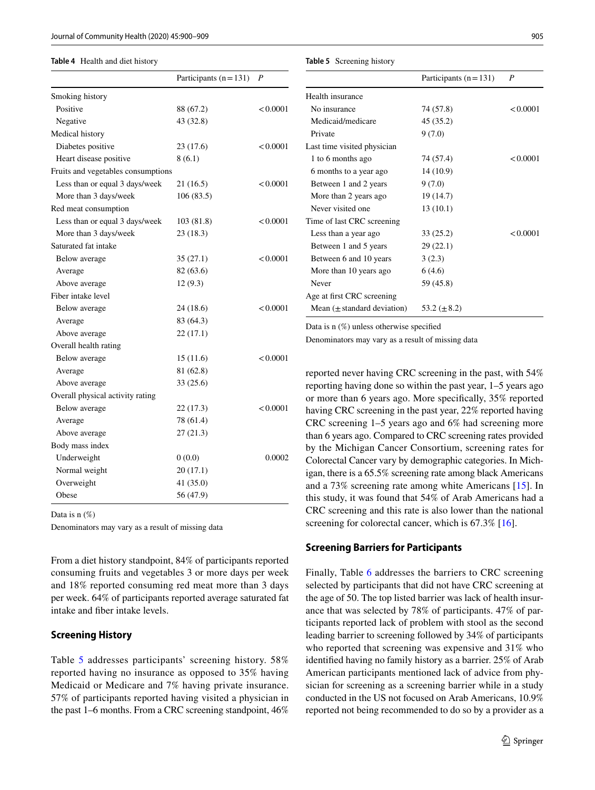#### <span id="page-7-0"></span>**Table 4** Health and diet history

|                                    | Participants $(n=131)$ | P        |
|------------------------------------|------------------------|----------|
| Smoking history                    |                        |          |
| Positive                           | 88 (67.2)              | < 0.0001 |
| Negative                           | 43 (32.8)              |          |
| Medical history                    |                        |          |
| Diabetes positive                  | 23 (17.6)              | < 0.0001 |
| Heart disease positive             | 8(6.1)                 |          |
| Fruits and vegetables consumptions |                        |          |
| Less than or equal 3 days/week     | 21 (16.5)              | < 0.0001 |
| More than 3 days/week              | 106(83.5)              |          |
| Red meat consumption               |                        |          |
| Less than or equal 3 days/week     | 103 (81.8)             | < 0.0001 |
| More than 3 days/week              | 23 (18.3)              |          |
| Saturated fat intake               |                        |          |
| Below average                      | 35 (27.1)              | < 0.0001 |
| Average                            | 82 (63.6)              |          |
| Above average                      | 12(9.3)                |          |
| Fiber intake level                 |                        |          |
| Below average                      | 24 (18.6)              | < 0.0001 |
| Average                            | 83 (64.3)              |          |
| Above average                      | 22 (17.1)              |          |
| Overall health rating              |                        |          |
| Below average                      | 15(11.6)               | < 0.0001 |
| Average                            | 81 (62.8)              |          |
| Above average                      | 33 (25.6)              |          |
| Overall physical activity rating   |                        |          |
| Below average                      | 22 (17.3)              | < 0.0001 |
| Average                            | 78 (61.4)              |          |
| Above average                      | 27 (21.3)              |          |
| Body mass index                    |                        |          |
| Underweight                        | 0(0.0)                 | 0.0002   |
| Normal weight                      | 20 (17.1)              |          |
| Overweight                         | 41 (35.0)              |          |
| Obese                              | 56 (47.9)              |          |

Data is  $n$   $(\%)$ 

Denominators may vary as a result of missing data

From a diet history standpoint, 84% of participants reported consuming fruits and vegetables 3 or more days per week and 18% reported consuming red meat more than 3 days per week. 64% of participants reported average saturated fat intake and fber intake levels.

#### **Screening History**

Table [5](#page-7-1) addresses participants' screening history. 58% reported having no insurance as opposed to 35% having Medicaid or Medicare and 7% having private insurance. 57% of participants reported having visited a physician in the past 1–6 months. From a CRC screening standpoint, 46%

<span id="page-7-1"></span>**Table 5** Screening history

|                                 | Participants $(n=131)$ | P        |
|---------------------------------|------------------------|----------|
| Health insurance                |                        |          |
| No insurance                    | 74 (57.8)              | < 0.0001 |
| Medicaid/medicare               | 45 (35.2)              |          |
| Private                         | 9(7.0)                 |          |
| Last time visited physician     |                        |          |
| 1 to 6 months ago               | 74 (57.4)              | < 0.0001 |
| 6 months to a year ago          | 14 (10.9)              |          |
| Between 1 and 2 years           | 9(7.0)                 |          |
| More than 2 years ago           | 19 (14.7)              |          |
| Never visited one               | 13(10.1)               |          |
| Time of last CRC screening      |                        |          |
| Less than a year ago            | 33 (25.2)              | < 0.0001 |
| Between 1 and 5 years           | 29(22.1)               |          |
| Between 6 and 10 years          | 3(2.3)                 |          |
| More than 10 years ago          | 6(4.6)                 |          |
| Never                           | 59 (45.8)              |          |
| Age at first CRC screening      |                        |          |
| Mean $(\pm$ standard deviation) | 53.2 $(\pm 8.2)$       |          |
|                                 |                        |          |

Data is n (%) unless otherwise specifed

Denominators may vary as a result of missing data

reported never having CRC screening in the past, with 54% reporting having done so within the past year, 1–5 years ago or more than 6 years ago. More specifcally, 35% reported having CRC screening in the past year, 22% reported having CRC screening 1–5 years ago and 6% had screening more than 6 years ago. Compared to CRC screening rates provided by the Michigan Cancer Consortium, screening rates for Colorectal Cancer vary by demographic categories. In Michigan, there is a 65.5% screening rate among black Americans and a 73% screening rate among white Americans [[15](#page-11-14)]. In this study, it was found that 54% of Arab Americans had a CRC screening and this rate is also lower than the national screening for colorectal cancer, which is 67.3% [[16](#page-11-15)].

#### **Screening Barriers for Participants**

Finally, Table [6](#page-8-0) addresses the barriers to CRC screening selected by participants that did not have CRC screening at the age of 50. The top listed barrier was lack of health insurance that was selected by 78% of participants. 47% of participants reported lack of problem with stool as the second leading barrier to screening followed by 34% of participants who reported that screening was expensive and 31% who identifed having no family history as a barrier. 25% of Arab American participants mentioned lack of advice from physician for screening as a screening barrier while in a study conducted in the US not focused on Arab Americans, 10.9% reported not being recommended to do so by a provider as a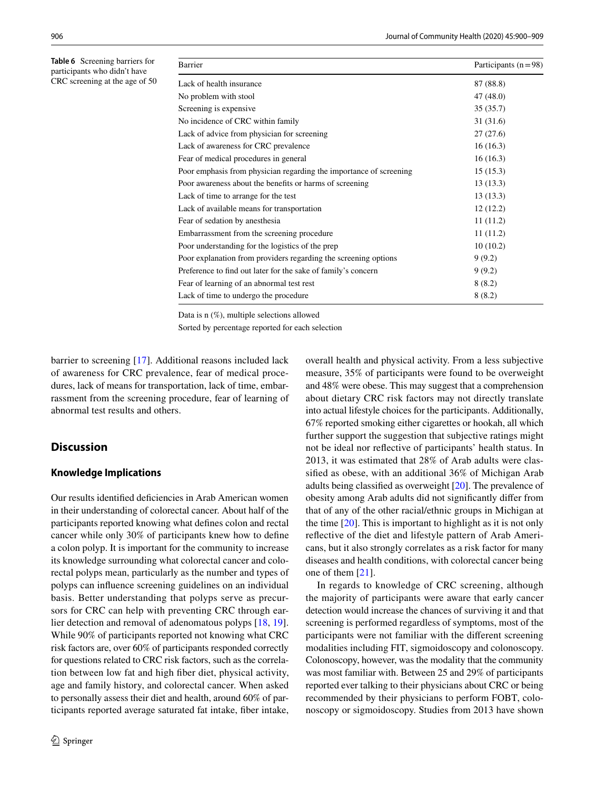<span id="page-8-0"></span>**Table 6** Screening barriers for participants who didn't have CRC screening at the age of 50

| Barrier                                                            | Participants $(n=98)$ |
|--------------------------------------------------------------------|-----------------------|
| Lack of health insurance                                           | 87 (88.8)             |
| No problem with stool                                              | 47 (48.0)             |
| Screening is expensive.                                            | 35(35.7)              |
| No incidence of CRC within family                                  | 31(31.6)              |
| Lack of advice from physician for screening                        | 27(27.6)              |
| Lack of awareness for CRC prevalence                               | 16(16.3)              |
| Fear of medical procedures in general                              | 16(16.3)              |
| Poor emphasis from physician regarding the importance of screening | 15(15.3)              |
| Poor awareness about the benefits or harms of screening            | 13(13.3)              |
| Lack of time to arrange for the test                               | 13(13.3)              |
| Lack of available means for transportation                         | 12(12.2)              |
| Fear of sedation by anesthesia                                     | 11(11.2)              |
| Embarrassment from the screening procedure                         | 11(11.2)              |
| Poor understanding for the logistics of the prep                   | 10(10.2)              |
| Poor explanation from providers regarding the screening options    | 9(9.2)                |
| Preference to find out later for the sake of family's concern      | 9(9.2)                |
| Fear of learning of an abnormal test rest                          | 8(8.2)                |
| Lack of time to undergo the procedure                              | 8(8.2)                |

Data is n (%), multiple selections allowed

Sorted by percentage reported for each selection

barrier to screening [[17\]](#page-11-16). Additional reasons included lack of awareness for CRC prevalence, fear of medical procedures, lack of means for transportation, lack of time, embarrassment from the screening procedure, fear of learning of abnormal test results and others.

## **Discussion**

### **Knowledge Implications**

Our results identifed defciencies in Arab American women in their understanding of colorectal cancer. About half of the participants reported knowing what defnes colon and rectal cancer while only 30% of participants knew how to defne a colon polyp. It is important for the community to increase its knowledge surrounding what colorectal cancer and colorectal polyps mean, particularly as the number and types of polyps can infuence screening guidelines on an individual basis. Better understanding that polyps serve as precursors for CRC can help with preventing CRC through earlier detection and removal of adenomatous polyps [[18](#page-11-17), [19](#page-11-18)]. While 90% of participants reported not knowing what CRC risk factors are, over 60% of participants responded correctly for questions related to CRC risk factors, such as the correlation between low fat and high fber diet, physical activity, age and family history, and colorectal cancer. When asked to personally assess their diet and health, around 60% of participants reported average saturated fat intake, fber intake,

overall health and physical activity. From a less subjective measure, 35% of participants were found to be overweight and 48% were obese. This may suggest that a comprehension about dietary CRC risk factors may not directly translate into actual lifestyle choices for the participants. Additionally, 67% reported smoking either cigarettes or hookah, all which further support the suggestion that subjective ratings might not be ideal nor refective of participants' health status. In 2013, it was estimated that 28% of Arab adults were classifed as obese, with an additional 36% of Michigan Arab adults being classifed as overweight [[20\]](#page-11-19). The prevalence of obesity among Arab adults did not signifcantly difer from that of any of the other racial/ethnic groups in Michigan at the time [[20\]](#page-11-19). This is important to highlight as it is not only refective of the diet and lifestyle pattern of Arab Americans, but it also strongly correlates as a risk factor for many diseases and health conditions, with colorectal cancer being one of them [\[21](#page-11-20)].

In regards to knowledge of CRC screening, although the majority of participants were aware that early cancer detection would increase the chances of surviving it and that screening is performed regardless of symptoms, most of the participants were not familiar with the diferent screening modalities including FIT, sigmoidoscopy and colonoscopy. Colonoscopy, however, was the modality that the community was most familiar with. Between 25 and 29% of participants reported ever talking to their physicians about CRC or being recommended by their physicians to perform FOBT, colonoscopy or sigmoidoscopy. Studies from 2013 have shown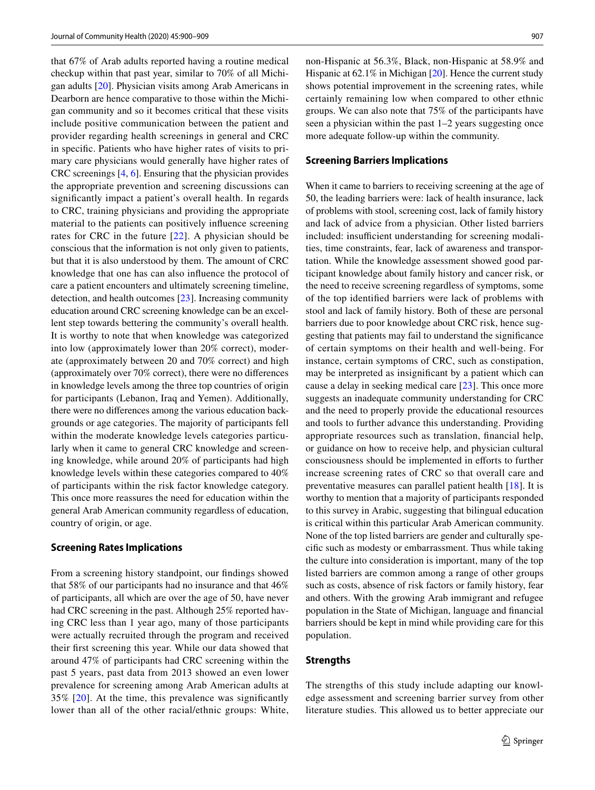that 67% of Arab adults reported having a routine medical checkup within that past year, similar to 70% of all Michigan adults [\[20](#page-11-19)]. Physician visits among Arab Americans in Dearborn are hence comparative to those within the Michigan community and so it becomes critical that these visits include positive communication between the patient and provider regarding health screenings in general and CRC in specifc. Patients who have higher rates of visits to primary care physicians would generally have higher rates of CRC screenings [[4,](#page-11-3) [6\]](#page-11-5). Ensuring that the physician provides the appropriate prevention and screening discussions can signifcantly impact a patient's overall health. In regards to CRC, training physicians and providing the appropriate material to the patients can positively infuence screening rates for CRC in the future [[22](#page-11-21)]. A physician should be conscious that the information is not only given to patients, but that it is also understood by them. The amount of CRC knowledge that one has can also infuence the protocol of care a patient encounters and ultimately screening timeline, detection, and health outcomes [[23\]](#page-11-22). Increasing community education around CRC screening knowledge can be an excellent step towards bettering the community's overall health. It is worthy to note that when knowledge was categorized into low (approximately lower than 20% correct), moderate (approximately between 20 and 70% correct) and high (approximately over 70% correct), there were no diferences in knowledge levels among the three top countries of origin for participants (Lebanon, Iraq and Yemen). Additionally, there were no diferences among the various education backgrounds or age categories. The majority of participants fell within the moderate knowledge levels categories particularly when it came to general CRC knowledge and screening knowledge, while around 20% of participants had high knowledge levels within these categories compared to 40% of participants within the risk factor knowledge category. This once more reassures the need for education within the general Arab American community regardless of education, country of origin, or age.

#### **Screening Rates Implications**

From a screening history standpoint, our fndings showed that 58% of our participants had no insurance and that 46% of participants, all which are over the age of 50, have never had CRC screening in the past. Although 25% reported having CRC less than 1 year ago, many of those participants were actually recruited through the program and received their frst screening this year. While our data showed that around 47% of participants had CRC screening within the past 5 years, past data from 2013 showed an even lower prevalence for screening among Arab American adults at 35% [[20\]](#page-11-19). At the time, this prevalence was signifcantly lower than all of the other racial/ethnic groups: White, non-Hispanic at 56.3%, Black, non-Hispanic at 58.9% and Hispanic at 62.1% in Michigan [[20\]](#page-11-19). Hence the current study shows potential improvement in the screening rates, while certainly remaining low when compared to other ethnic groups. We can also note that 75% of the participants have seen a physician within the past 1–2 years suggesting once more adequate follow-up within the community.

#### **Screening Barriers Implications**

When it came to barriers to receiving screening at the age of 50, the leading barriers were: lack of health insurance, lack of problems with stool, screening cost, lack of family history and lack of advice from a physician. Other listed barriers included: insufficient understanding for screening modalities, time constraints, fear, lack of awareness and transportation. While the knowledge assessment showed good participant knowledge about family history and cancer risk, or the need to receive screening regardless of symptoms, some of the top identifed barriers were lack of problems with stool and lack of family history. Both of these are personal barriers due to poor knowledge about CRC risk, hence suggesting that patients may fail to understand the signifcance of certain symptoms on their health and well-being. For instance, certain symptoms of CRC, such as constipation, may be interpreted as insignifcant by a patient which can cause a delay in seeking medical care [\[23](#page-11-22)]. This once more suggests an inadequate community understanding for CRC and the need to properly provide the educational resources and tools to further advance this understanding. Providing appropriate resources such as translation, fnancial help, or guidance on how to receive help, and physician cultural consciousness should be implemented in eforts to further increase screening rates of CRC so that overall care and preventative measures can parallel patient health [[18\]](#page-11-17). It is worthy to mention that a majority of participants responded to this survey in Arabic, suggesting that bilingual education is critical within this particular Arab American community. None of the top listed barriers are gender and culturally specifc such as modesty or embarrassment. Thus while taking the culture into consideration is important, many of the top listed barriers are common among a range of other groups such as costs, absence of risk factors or family history, fear and others. With the growing Arab immigrant and refugee population in the State of Michigan, language and fnancial barriers should be kept in mind while providing care for this population.

#### **Strengths**

The strengths of this study include adapting our knowledge assessment and screening barrier survey from other literature studies. This allowed us to better appreciate our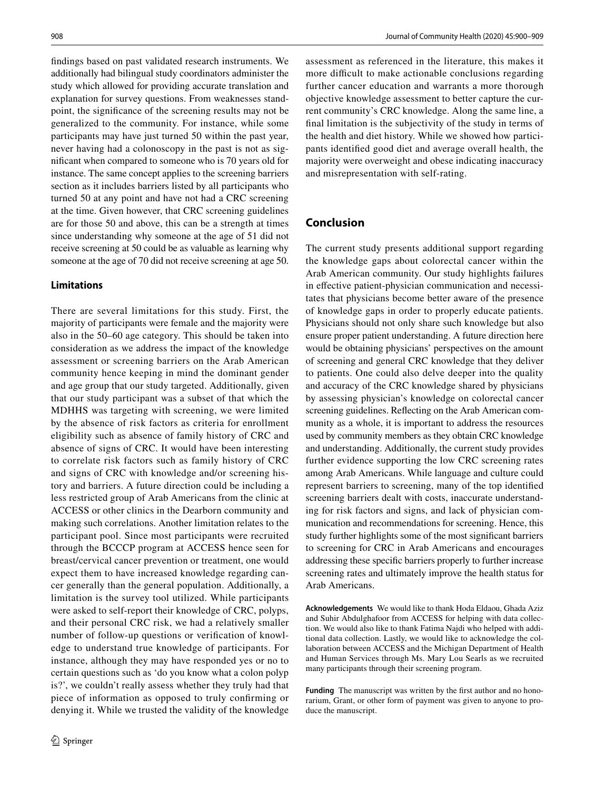fndings based on past validated research instruments. We additionally had bilingual study coordinators administer the study which allowed for providing accurate translation and explanation for survey questions. From weaknesses standpoint, the signifcance of the screening results may not be generalized to the community. For instance, while some participants may have just turned 50 within the past year, never having had a colonoscopy in the past is not as signifcant when compared to someone who is 70 years old for instance. The same concept applies to the screening barriers section as it includes barriers listed by all participants who turned 50 at any point and have not had a CRC screening at the time. Given however, that CRC screening guidelines are for those 50 and above, this can be a strength at times since understanding why someone at the age of 51 did not receive screening at 50 could be as valuable as learning why someone at the age of 70 did not receive screening at age 50.

#### **Limitations**

There are several limitations for this study. First, the majority of participants were female and the majority were also in the 50–60 age category. This should be taken into consideration as we address the impact of the knowledge assessment or screening barriers on the Arab American community hence keeping in mind the dominant gender and age group that our study targeted. Additionally, given that our study participant was a subset of that which the MDHHS was targeting with screening, we were limited by the absence of risk factors as criteria for enrollment eligibility such as absence of family history of CRC and absence of signs of CRC. It would have been interesting to correlate risk factors such as family history of CRC and signs of CRC with knowledge and/or screening history and barriers. A future direction could be including a less restricted group of Arab Americans from the clinic at ACCESS or other clinics in the Dearborn community and making such correlations. Another limitation relates to the participant pool. Since most participants were recruited through the BCCCP program at ACCESS hence seen for breast/cervical cancer prevention or treatment, one would expect them to have increased knowledge regarding cancer generally than the general population. Additionally, a limitation is the survey tool utilized. While participants were asked to self-report their knowledge of CRC, polyps, and their personal CRC risk, we had a relatively smaller number of follow-up questions or verifcation of knowledge to understand true knowledge of participants. For instance, although they may have responded yes or no to certain questions such as 'do you know what a colon polyp is?', we couldn't really assess whether they truly had that piece of information as opposed to truly confrming or denying it. While we trusted the validity of the knowledge assessment as referenced in the literature, this makes it more difficult to make actionable conclusions regarding further cancer education and warrants a more thorough objective knowledge assessment to better capture the current community's CRC knowledge. Along the same line, a fnal limitation is the subjectivity of the study in terms of the health and diet history. While we showed how participants identifed good diet and average overall health, the majority were overweight and obese indicating inaccuracy and misrepresentation with self-rating.

## **Conclusion**

The current study presents additional support regarding the knowledge gaps about colorectal cancer within the Arab American community. Our study highlights failures in effective patient-physician communication and necessitates that physicians become better aware of the presence of knowledge gaps in order to properly educate patients. Physicians should not only share such knowledge but also ensure proper patient understanding. A future direction here would be obtaining physicians' perspectives on the amount of screening and general CRC knowledge that they deliver to patients. One could also delve deeper into the quality and accuracy of the CRC knowledge shared by physicians by assessing physician's knowledge on colorectal cancer screening guidelines. Refecting on the Arab American community as a whole, it is important to address the resources used by community members as they obtain CRC knowledge and understanding. Additionally, the current study provides further evidence supporting the low CRC screening rates among Arab Americans. While language and culture could represent barriers to screening, many of the top identifed screening barriers dealt with costs, inaccurate understanding for risk factors and signs, and lack of physician communication and recommendations for screening. Hence, this study further highlights some of the most signifcant barriers to screening for CRC in Arab Americans and encourages addressing these specifc barriers properly to further increase screening rates and ultimately improve the health status for Arab Americans.

**Acknowledgements** We would like to thank Hoda Eldaou, Ghada Aziz and Suhir Abdulghafoor from ACCESS for helping with data collection. We would also like to thank Fatima Najdi who helped with additional data collection. Lastly, we would like to acknowledge the collaboration between ACCESS and the Michigan Department of Health and Human Services through Ms. Mary Lou Searls as we recruited many participants through their screening program.

Funding The manuscript was written by the first author and no honorarium, Grant, or other form of payment was given to anyone to produce the manuscript.